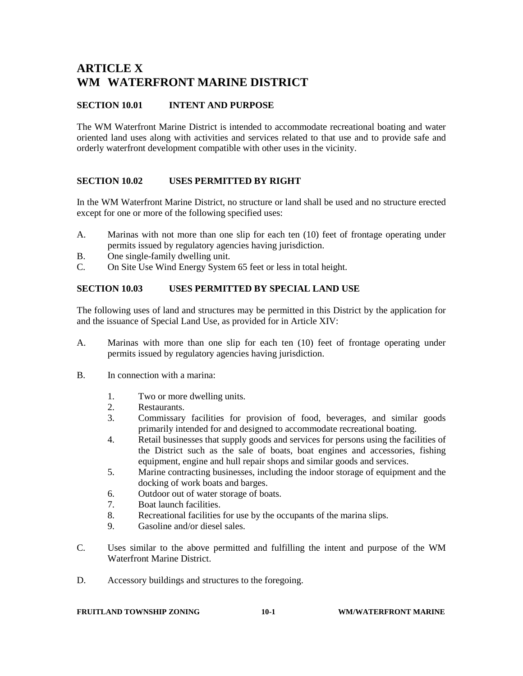# **ARTICLE X WM WATERFRONT MARINE DISTRICT**

## **SECTION 10.01 INTENT AND PURPOSE**

The WM Waterfront Marine District is intended to accommodate recreational boating and water oriented land uses along with activities and services related to that use and to provide safe and orderly waterfront development compatible with other uses in the vicinity.

## **SECTION 10.02 USES PERMITTED BY RIGHT**

In the WM Waterfront Marine District, no structure or land shall be used and no structure erected except for one or more of the following specified uses:

- A. Marinas with not more than one slip for each ten (10) feet of frontage operating under permits issued by regulatory agencies having jurisdiction.
- B. One single-family dwelling unit.
- C. On Site Use Wind Energy System 65 feet or less in total height.

#### **SECTION 10.03 USES PERMITTED BY SPECIAL LAND USE**

The following uses of land and structures may be permitted in this District by the application for and the issuance of Special Land Use, as provided for in Article XIV:

- A. Marinas with more than one slip for each ten (10) feet of frontage operating under permits issued by regulatory agencies having jurisdiction.
- B. In connection with a marina:
	- 1. Two or more dwelling units.
	- 2. Restaurants.
	- 3. Commissary facilities for provision of food, beverages, and similar goods primarily intended for and designed to accommodate recreational boating.
	- 4. Retail businesses that supply goods and services for persons using the facilities of the District such as the sale of boats, boat engines and accessories, fishing equipment, engine and hull repair shops and similar goods and services.
	- 5. Marine contracting businesses, including the indoor storage of equipment and the docking of work boats and barges.
	- 6. Outdoor out of water storage of boats.
	- 7. Boat launch facilities.
	- 8. Recreational facilities for use by the occupants of the marina slips.
	- 9. Gasoline and/or diesel sales.
- C. Uses similar to the above permitted and fulfilling the intent and purpose of the WM Waterfront Marine District.
- D. Accessory buildings and structures to the foregoing.